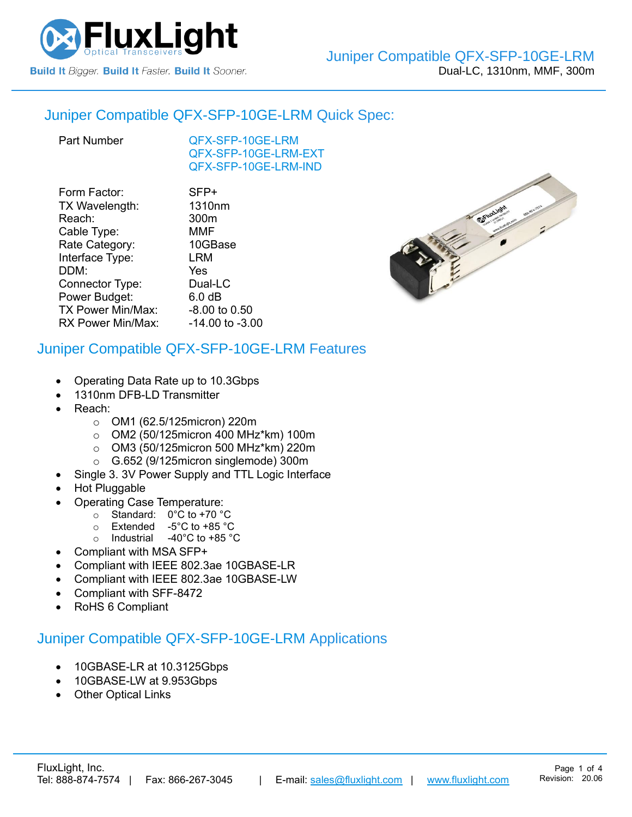

### Juniper Compatible [QFX-SFP-10GE-LRM](https://www.fluxlight.com/QFX-SFP-10ge-lrm/) Quick Spec:

[QFX-SFP-10GE-LRM](https://www.fluxlight.com/QFX-SFP-10ge-lrm/) [QFX-SFP-10GE-LRM-](https://www.fluxlight.com/QFX-SFP-10ge-lrm/)EXT [QFX-SFP-10GE-LRM-](https://www.fluxlight.com/QFX-SFP-10ge-lrm/)IND

| SFP+                |
|---------------------|
| 1310nm              |
| 300m                |
| <b>MMF</b>          |
| 10GBase             |
| <b>LRM</b>          |
| Yes                 |
| Dual-LC             |
| 6.0 <sub>dB</sub>   |
| -8.00 to 0.50       |
| $-14.00$ to $-3.00$ |
|                     |



## Juniper Compatible [QFX-SFP-10GE-LRM](https://www.fluxlight.com/QFX-SFP-10ge-lrm/) Features

- Operating Data Rate up to 10.3Gbps
- 1310nm DFB-LD Transmitter
- Reach:
	- o OM1 (62.5/125micron) 220m
	- o OM2 (50/125micron 400 MHz\*km) 100m
	- o OM3 (50/125micron 500 MHz\*km) 220m
	- o G.652 (9/125micron singlemode) 300m
	- Single 3. 3V Power Supply and TTL Logic Interface
- Hot Pluggable
- Operating Case Temperature:
	- o Standard: 0°C to +70 °C
	- o Extended -5°C to +85 °C
	- o Industrial -40°C to +85 °C
- Compliant with MSA SFP+
- Compliant with IEEE 802.3ae 10GBASE-LR
- Compliant with IEEE 802.3ae 10GBASE-LW
- Compliant with SFF-8472
- RoHS 6 Compliant

### Juniper Compatible [QFX-SFP-10GE-LRM](https://www.fluxlight.com/QFX-SFP-10ge-lrm/) Applications

- 10GBASE-LR at 10.3125Gbps
- 10GBASE-LW at 9.953Gbps
- **Other Optical Links**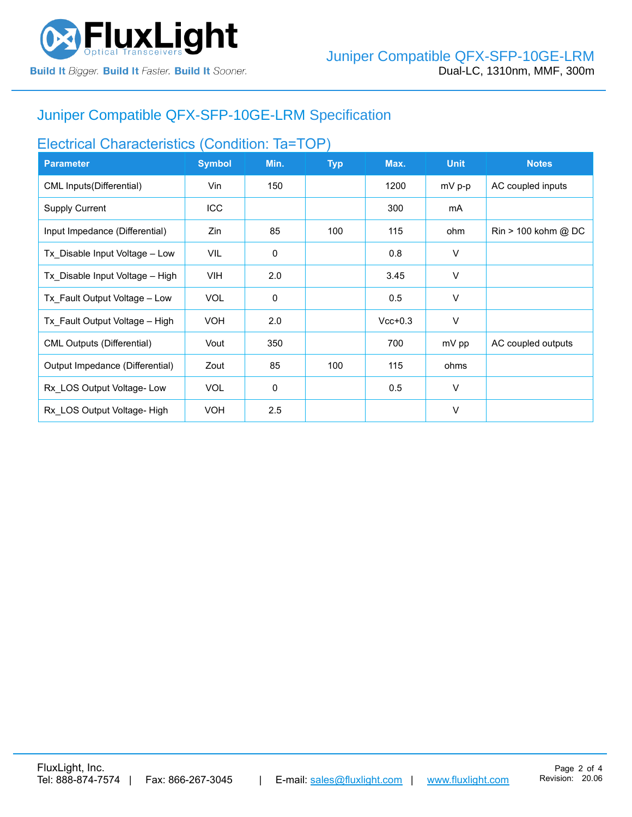

# Juniper Compatible [QFX-SFP-10GE-LRM](https://www.fluxlight.com/QFX-SFP-10ge-lrm/) Specification

# Electrical Characteristics (Condition: Ta=TOP)

| <b>Parameter</b>                  | <b>Symbol</b> | Min.        | <b>Typ</b> | Max.      | <b>Unit</b> | <b>Notes</b>                          |
|-----------------------------------|---------------|-------------|------------|-----------|-------------|---------------------------------------|
| CML Inputs(Differential)          | Vin           | 150         |            | 1200      | $mV$ p-p    | AC coupled inputs                     |
| <b>Supply Current</b>             | ICC           |             |            | 300       | mA          |                                       |
| Input Impedance (Differential)    | Zin           | 85          | 100        | 115       | ohm         | $\text{Rin} > 100 \text{ kohm } @$ DC |
| Tx Disable Input Voltage - Low    | VIL.          | $\mathbf 0$ |            | 0.8       | $\vee$      |                                       |
| Tx Disable Input Voltage - High   | <b>VIH</b>    | 2.0         |            | 3.45      | V           |                                       |
| Tx_Fault Output Voltage - Low     | <b>VOL</b>    | $\mathbf 0$ |            | 0.5       | V           |                                       |
| Tx Fault Output Voltage - High    | <b>VOH</b>    | 2.0         |            | $Vcc+0.3$ | V           |                                       |
| <b>CML Outputs (Differential)</b> | Vout          | 350         |            | 700       | mV pp       | AC coupled outputs                    |
| Output Impedance (Differential)   | Zout          | 85          | 100        | 115       | ohms        |                                       |
| Rx LOS Output Voltage-Low         | <b>VOL</b>    | 0           |            | 0.5       | $\vee$      |                                       |
| Rx LOS Output Voltage- High       | <b>VOH</b>    | 2.5         |            |           | $\vee$      |                                       |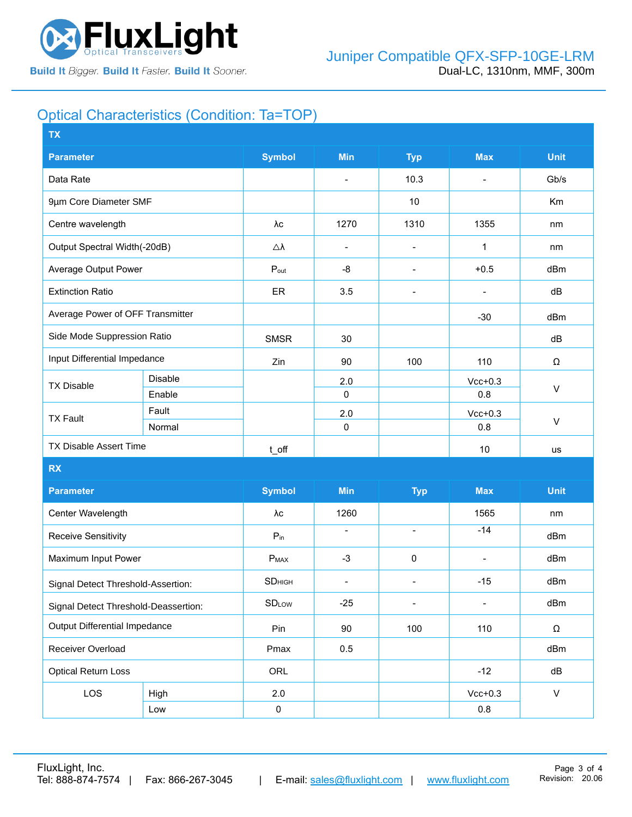

# Optical Characteristics (Condition: Ta=TOP)

| <b>TX</b>                            |                |                     |                          |                          |                          |              |  |
|--------------------------------------|----------------|---------------------|--------------------------|--------------------------|--------------------------|--------------|--|
| <b>Parameter</b>                     |                | <b>Symbol</b>       | <b>Min</b>               | <b>Typ</b>               | <b>Max</b>               | <b>Unit</b>  |  |
| Data Rate                            |                |                     | $\overline{\phantom{a}}$ | 10.3                     | $\blacksquare$           | Gb/s         |  |
| 9µm Core Diameter SMF                |                |                     |                          | 10                       |                          | Km           |  |
| Centre wavelength                    |                | λс                  | 1270                     | 1310                     | 1355                     | nm           |  |
| Output Spectral Width(-20dB)         |                | $\triangle \lambda$ | $\overline{\phantom{a}}$ | $\overline{\phantom{a}}$ | 1                        | nm           |  |
| Average Output Power                 |                | $P_{\text{out}}$    | -8                       | $\overline{\phantom{a}}$ | $+0.5$                   | dBm          |  |
| <b>Extinction Ratio</b>              |                | ER                  | 3.5                      | $\overline{\phantom{a}}$ | $\overline{\phantom{0}}$ | dB           |  |
| Average Power of OFF Transmitter     |                |                     |                          |                          | $-30$                    | dBm          |  |
| Side Mode Suppression Ratio          |                | <b>SMSR</b>         | 30                       |                          |                          | dB           |  |
| Input Differential Impedance         |                | Zin                 | 90                       | 100                      | 110                      | Ω            |  |
| <b>TX Disable</b>                    | <b>Disable</b> |                     | 2.0                      |                          | $Vcc+0.3$                | $\vee$       |  |
|                                      | Enable         |                     | $\pmb{0}$                |                          | 0.8                      |              |  |
| <b>TX Fault</b>                      | Fault          |                     | 2.0                      |                          | $Vcc+0.3$                | $\sf V$      |  |
|                                      | Normal         |                     | 0                        |                          | 0.8                      |              |  |
| <b>TX Disable Assert Time</b>        |                | t_off               |                          |                          | 10                       | us           |  |
| <b>RX</b>                            |                |                     |                          |                          |                          |              |  |
| <b>Parameter</b>                     |                | <b>Symbol</b>       | Min                      | <b>Typ</b>               | <b>Max</b>               | <b>Unit</b>  |  |
| Center Wavelength                    |                | λс                  | 1260                     |                          | 1565                     | nm           |  |
| Receive Sensitivity                  |                | $P_{in}$            | $\blacksquare$           | $\overline{\phantom{a}}$ | $-14$                    | dBm          |  |
| Maximum Input Power                  |                | $P_{MAX}$           | $-3$                     | $\pmb{0}$                | $\overline{\phantom{0}}$ | dBm          |  |
| Signal Detect Threshold-Assertion:   |                | SD <sub>HIGH</sub>  | $\overline{\phantom{a}}$ | $\overline{\phantom{a}}$ | $-15$                    | dBm          |  |
| Signal Detect Threshold-Deassertion: |                | <b>SDLow</b>        | $-25$                    | $\overline{\phantom{0}}$ |                          | dBm          |  |
| <b>Output Differential Impedance</b> |                | Pin                 | 90                       | 100                      | 110                      | Ω            |  |
| Receiver Overload                    |                | Pmax                | 0.5                      |                          |                          | dBm          |  |
| <b>Optical Return Loss</b>           |                | ORL                 |                          |                          | $-12$                    | dB           |  |
| LOS                                  | High           | 2.0                 |                          |                          | $Vcc+0.3$                | $\mathsf{V}$ |  |
|                                      | Low            | $\pmb{0}$           |                          |                          | $0.8\,$                  |              |  |